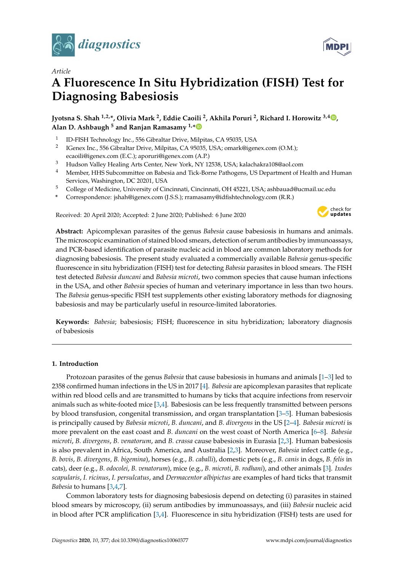

*Article*

# **A Fluorescence In Situ Hybridization (FISH) Test for Diagnosing Babesiosis**

**Jyotsna S. Shah 1,2,\*, Olivia Mark <sup>2</sup> , Eddie Caoili <sup>2</sup> , Akhila Poruri <sup>2</sup> , Richard I. Horowitz 3,4 [,](https://orcid.org/0000-0002-4952-883X) Alan D. Ashbaugh <sup>5</sup> and Ranjan Ramasamy 1,[\\*](https://orcid.org/0000-0003-0246-7053)**

- 1 ID-FISH Technology Inc., 556 Gibraltar Drive, Milpitas, CA 95035, USA
- 2 IGenex Inc., 556 Gibraltar Drive, Milpitas, CA 95035, USA; omark@igenex.com (O.M.); ecaoili@igenex.com (E.C.); aporuri@igenex.com (A.P.)
- <sup>3</sup> Hudson Valley Healing Arts Center, New York, NY 12538, USA; kalachakra108@aol.com
- <sup>4</sup> Member, HHS Subcommittee on Babesia and Tick-Borne Pathogens, US Department of Health and Human Services, Washington, DC 20201, USA
- <sup>5</sup> College of Medicine, University of Cincinnati, Cincinnati, OH 45221, USA; ashbauad@ucmail.uc.edu
- **\*** Correspondence: jshah@igenex.com (J.S.S.); rramasamy@idfishtechnology.com (R.R.)

Received: 20 April 2020; Accepted: 2 June 2020; Published: 6 June 2020



**Abstract:** Apicomplexan parasites of the genus *Babesia* cause babesiosis in humans and animals. The microscopic examination of stained blood smears, detection of serum antibodies by immunoassays, and PCR-based identification of parasite nucleic acid in blood are common laboratory methods for diagnosing babesiosis. The present study evaluated a commercially available *Babesia* genus-specific fluorescence in situ hybridization (FISH) test for detecting *Babesia* parasites in blood smears. The FISH test detected *Babesia duncani* and *Babesia microti*, two common species that cause human infections in the USA, and other *Babesia* species of human and veterinary importance in less than two hours. The *Babesia* genus-specific FISH test supplements other existing laboratory methods for diagnosing babesiosis and may be particularly useful in resource-limited laboratories.

**Keywords:** *Babesia*; babesiosis; FISH; fluorescence in situ hybridization; laboratory diagnosis of babesiosis

## **1. Introduction**

Protozoan parasites of the genus *Babesia* that cause babesiosis in humans and animals [\[1](#page-7-0)[–3\]](#page-7-1) led to 2358 confirmed human infections in the US in 2017 [\[4\]](#page-7-2). *Babesia* are apicomplexan parasites that replicate within red blood cells and are transmitted to humans by ticks that acquire infections from reservoir animals such as white-footed mice [\[3](#page-7-1)[,4\]](#page-7-2). Babesiosis can be less frequently transmitted between persons by blood transfusion, congenital transmission, and organ transplantation [\[3–](#page-7-1)[5\]](#page-7-3). Human babesiosis is principally caused by *Babesia microti*, *B. duncani*, and *B. divergens* in the US [\[2](#page-7-4)[–4\]](#page-7-2). *Babesia microti* is more prevalent on the east coast and *B. duncani* on the west coast of North America [\[6](#page-7-5)[–8\]](#page-7-6). *Babesia microti*, *B. divergens*, *B. venatorum*, and *B. crassa* cause babesiosis in Eurasia [\[2](#page-7-4)[,3\]](#page-7-1). Human babesiosis is also prevalent in Africa, South America, and Australia [\[2,](#page-7-4)[3\]](#page-7-1). Moreover, *Babesia* infect cattle (e.g., *B. bovis*, *B. divergens*, *B. bigemina*), horses (e.g., *B. caballi*), domestic pets (e.g., *B. canis* in dogs, *B. felis* in cats), deer (e.g., *B. odocolei*, *B. venatorum*), mice (e.g., *B. microti*, *B. rodhani*), and other animals [\[3\]](#page-7-1). *Ixodes scapularis*, *I. ricinus*, *I. persulcatus*, and *Dermacentor albipictus* are examples of hard ticks that transmit *Babesia* to humans [\[3](#page-7-1)[,4](#page-7-2)[,7\]](#page-7-7).

Common laboratory tests for diagnosing babesiosis depend on detecting (i) parasites in stained blood smears by microscopy, (ii) serum antibodies by immunoassays, and (iii) *Babesia* nucleic acid in blood after PCR amplification [\[3,](#page-7-1)[4\]](#page-7-2). Fluorescence in situ hybridization (FISH) tests are used for

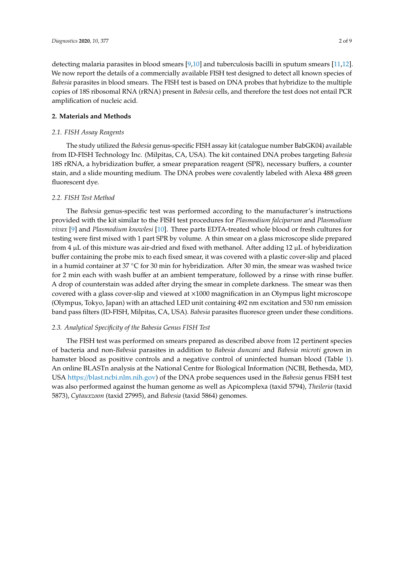detecting malaria parasites in blood smears [\[9,](#page-7-8)[10\]](#page-7-9) and tuberculosis bacilli in sputum smears [\[11,](#page-7-10)[12\]](#page-7-11). We now report the details of a commercially available FISH test designed to detect all known species of *Babesia* parasites in blood smears. The FISH test is based on DNA probes that hybridize to the multiple copies of 18S ribosomal RNA (rRNA) present in *Babesia* cells, and therefore the test does not entail PCR amplification of nucleic acid.

#### **2. Materials and Methods**

#### *2.1. FISH Assay Reagents*

The study utilized the *Babesia* genus-specific FISH assay kit (catalogue number BabGK04) available from ID-FISH Technology Inc. (Milpitas, CA, USA). The kit contained DNA probes targeting *Babesia* 18S rRNA, a hybridization buffer, a smear preparation reagent (SPR), necessary buffers, a counter stain, and a slide mounting medium. The DNA probes were covalently labeled with Alexa 488 green fluorescent dye.

#### *2.2. FISH Test Method*

The *Babesia* genus-specific test was performed according to the manufacturer's instructions provided with the kit similar to the FISH test procedures for *Plasmodium falciparum* and *Plasmodium vivax* [\[9\]](#page-7-8) and *Plasmodium knowlesi* [\[10\]](#page-7-9). Three parts EDTA-treated whole blood or fresh cultures for testing were first mixed with 1 part SPR by volume. A thin smear on a glass microscope slide prepared from 4 µL of this mixture was air-dried and fixed with methanol. After adding 12 µL of hybridization buffer containing the probe mix to each fixed smear, it was covered with a plastic cover-slip and placed in a humid container at 37 °C for 30 min for hybridization. After 30 min, the smear was washed twice for 2 min each with wash buffer at an ambient temperature, followed by a rinse with rinse buffer. A drop of counterstain was added after drying the smear in complete darkness. The smear was then covered with a glass cover-slip and viewed at ×1000 magnification in an Olympus light microscope (Olympus, Tokyo, Japan) with an attached LED unit containing 492 nm excitation and 530 nm emission band pass filters (ID-FISH, Milpitas, CA, USA). *Babesia* parasites fluoresce green under these conditions.

## *2.3. Analytical Specificity of the Babesia Genus FISH Test*

The FISH test was performed on smears prepared as described above from 12 pertinent species of bacteria and non-*Babesia* parasites in addition to *Babesia duncani* and *Babesia microti* grown in hamster blood as positive controls and a negative control of uninfected human blood (Table [1\)](#page-2-0). An online BLASTn analysis at the National Centre for Biological Information (NCBI, Bethesda, MD, USA https://[blast.ncbi.nlm.nih.gov\)](https://blast.ncbi.nlm.nih.gov) of the DNA probe sequences used in the *Babesia* genus FISH test was also performed against the human genome as well as Apicomplexa (taxid 5794), *Theileria* (taxid 5873), *Cytauxzoon* (taxid 27995), and *Babesia* (taxid 5864) genomes.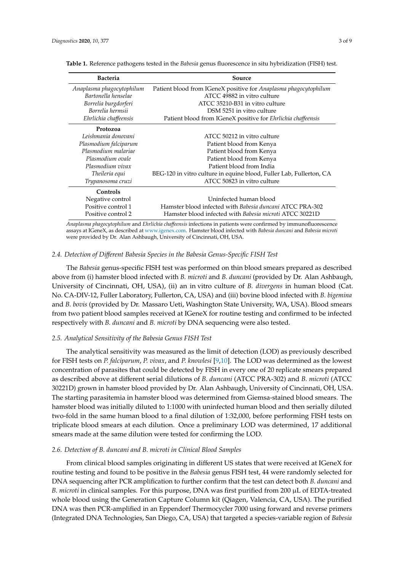| <b>Bacteria</b>           | Source                                                              |  |  |
|---------------------------|---------------------------------------------------------------------|--|--|
| Anaplasma phagocytophilum | Patient blood from IGeneX positive for Anaplasma phagocytophilum    |  |  |
| Bartonella henselae       | ATCC 49882 in vitro culture                                         |  |  |
| Borrelia burgdorferi      | ATCC 35210-B31 in vitro culture                                     |  |  |
| Borrelia hermsii          | DSM 5251 in vitro culture                                           |  |  |
| Ehrlichia chaffeensis     | Patient blood from IGeneX positive for Ehrlichia chaffeensis        |  |  |
| Protozoa                  |                                                                     |  |  |
| Leishmania donovani       | ATCC 50212 in vitro culture                                         |  |  |
| Plasmodium falciparum     | Patient blood from Kenya                                            |  |  |
| Plasmodium malariae       | Patient blood from Kenya                                            |  |  |
| Plasmodium ovale          | Patient blood from Kenya                                            |  |  |
| Plasmodium vivax          | Patient blood from India                                            |  |  |
| Theileria equi            | BEG-120 in vitro culture in equine blood, Fuller Lab, Fullerton, CA |  |  |
| Trypanosoma cruzi         | ATCC 50823 in vitro culture                                         |  |  |
| Controls                  |                                                                     |  |  |
| Negative control          | Uninfected human blood                                              |  |  |
| Positive control 1        | Hamster blood infected with Babesia duncani ATCC PRA-302            |  |  |
| Positive control 2        | Hamster blood infected with Babesia microti ATCC 30221D             |  |  |

<span id="page-2-0"></span>**Table 1.** Reference pathogens tested in the *Babesia* genus fluorescence in situ hybridization (FISH) test.

*Anaplasma phagocytophilum* and *Ehrlichia cha*ff*eensis* infections in patients were confirmed by immunofluorescence assays at IGeneX, as described at [www.igenex.com.](www.igenex.com) Hamster blood infected with *Babesia duncani* and *Babesia microti* were provided by Dr. Alan Ashbaugh, University of Cincinnati, OH, USA.

## *2.4. Detection of Di*ff*erent Babesia Species in the Babesia Genus-Specific FISH Test*

The *Babesia* genus-specific FISH test was performed on thin blood smears prepared as described above from (i) hamster blood infected with *B. microti* and *B. duncani* (provided by Dr. Alan Ashbaugh, University of Cincinnati, OH, USA), (ii) an in vitro culture of *B. divergens* in human blood (Cat. No. CA-DIV-12, Fuller Laboratory, Fullerton, CA, USA) and (iii) bovine blood infected with *B. bigemina* and *B. bovis* (provided by Dr. Massaro Ueti, Washington State University, WA, USA). Blood smears from two patient blood samples received at IGeneX for routine testing and confirmed to be infected respectively with *B. duncani* and *B. microti* by DNA sequencing were also tested.

# *2.5. Analytical Sensitivity of the Babesia Genus FISH Test*

The analytical sensitivity was measured as the limit of detection (LOD) as previously described for FISH tests on *P. falciparum*, *P. vivax*, and *P. knowlesi* [\[9](#page-7-8)[,10\]](#page-7-9). The LOD was determined as the lowest concentration of parasites that could be detected by FISH in every one of 20 replicate smears prepared as described above at different serial dilutions of *B. duncani* (ATCC PRA-302) and *B. microti* (ATCC 30221D) grown in hamster blood provided by Dr. Alan Ashbaugh, University of Cincinnati, OH, USA. The starting parasitemia in hamster blood was determined from Giemsa-stained blood smears. The hamster blood was initially diluted to 1:1000 with uninfected human blood and then serially diluted two-fold in the same human blood to a final dilution of 1:32,000, before performing FISH tests on triplicate blood smears at each dilution. Once a preliminary LOD was determined, 17 additional smears made at the same dilution were tested for confirming the LOD.

## *2.6. Detection of B. duncani and B. microti in Clinical Blood Samples*

From clinical blood samples originating in different US states that were received at IGeneX for routine testing and found to be positive in the *Babesia* genus FISH test, 44 were randomly selected for DNA sequencing after PCR amplification to further confirm that the test can detect both *B. duncani* and *B. microti* in clinical samples. For this purpose, DNA was first purified from 200 µL of EDTA-treated whole blood using the Generation Capture Column kit (Qiagen, Valencia, CA, USA). The purified DNA was then PCR-amplified in an Eppendorf Thermocycler 7000 using forward and reverse primers (Integrated DNA Technologies, San Diego, CA, USA) that targeted a species-variable region of *Babesia*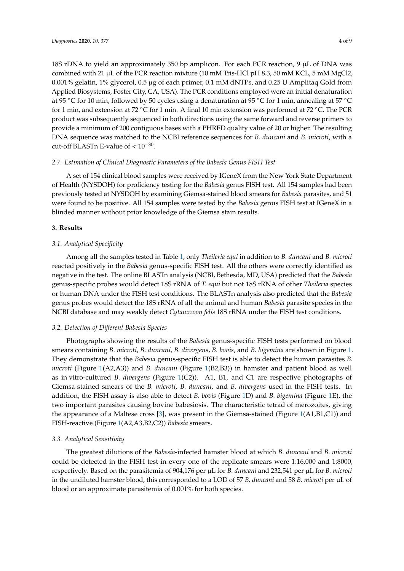18S rDNA to yield an approximately 350 bp amplicon. For each PCR reaction, 9  $\mu$ L of DNA was combined with 21  $\mu$ L of the PCR reaction mixture (10 mM Tris-HCl pH 8.3, 50 mM KCL, 5 mM MgCl2, 0.001% gelatin, 1% glycerol, 0.5 µg of each primer, 0.1 mM dNTPs, and 0.25 U Amplitaq Gold from Applied Biosystems, Foster City, CA, USA). The PCR conditions employed were an initial denaturation at 95 ◦C for 10 min, followed by 50 cycles using a denaturation at 95 ◦C for 1 min, annealing at 57 ◦C for 1 min, and extension at 72 ◦C for 1 min. A final 10 min extension was performed at 72 ◦C. The PCR product was subsequently sequenced in both directions using the same forward and reverse primers to provide a minimum of 200 contiguous bases with a PHRED quality value of 20 or higher. The resulting DNA sequence was matched to the NCBI reference sequences for *B. duncani* and *B. microti*, with a cut-off BLASTn E-value of  $< 10^{-30}$ .

# *2.7. Estimation of Clinical Diagnostic Parameters of the Babesia Genus FISH Test*

A set of 154 clinical blood samples were received by IGeneX from the New York State Department of Health (NYSDOH) for proficiency testing for the *Babesia* genus FISH test. All 154 samples had been previously tested at NYSDOH by examining Giemsa-stained blood smears for *Babesia* parasites, and 51 were found to be positive. All 154 samples were tested by the *Babesia* genus FISH test at IGeneX in a blinded manner without prior knowledge of the Giemsa stain results.

# **3. Results**

# *3.1. Analytical Specificity*

Among all the samples tested in Table [1,](#page-2-0) only *Theileria equi* in addition to *B. duncani* and *B. microti* reacted positively in the *Babesia* genus-specific FISH test. All the others were correctly identified as negative in the test. The online BLASTn analysis (NCBI, Bethesda, MD, USA) predicted that the *Babesia* genus-specific probes would detect 18S rRNA of *T. equi* but not 18S rRNA of other *Theileria* species or human DNA under the FISH test conditions. The BLASTn analysis also predicted that the *Babesia* genus probes would detect the 18S rRNA of all the animal and human *Babesia* parasite species in the NCBI database and may weakly detect *Cytauxzoon felis* 18S rRNA under the FISH test conditions.

## *3.2. Detection of Di*ff*erent Babesia Species*

Photographs showing the results of the *Babesia* genus-specific FISH tests performed on blood smears containing *B. microti*, *B. duncani*, *B. divergens*, *B. bovis*, and *B. bigemina* are shown in Figure [1.](#page-4-0) They demonstrate that the *Babesia* genus-specific FISH test is able to detect the human parasites *B. microti* (Figure [1\(](#page-4-0)A2,A3)) and *B. duncani* (Figure [1\(](#page-4-0)B2,B3)) in hamster and patient blood as well as in vitro-cultured *B. divergens* (Figure [1\(](#page-4-0)C2)). A1, B1, and C1 are respective photographs of Giemsa-stained smears of the *B. microti*, *B. duncani*, and *B. divergens* used in the FISH tests. In addition, the FISH assay is also able to detect *B. bovis* (Figure [1D](#page-4-0)) and *B. bigemina* (Figure [1E](#page-4-0)), the two important parasites causing bovine babesiosis. The characteristic tetrad of merozoites, giving the appearance of a Maltese cross [\[3\]](#page-7-1), was present in the Giemsa-stained (Figure [1\(](#page-4-0)A1,B1,C1)) and FISH-reactive (Figure [1\(](#page-4-0)A2,A3,B2,C2)) *Babesia* smears.

## *3.3. Analytical Sensitivity*

The greatest dilutions of the *Babesia*-infected hamster blood at which *B. duncani* and *B. microti* could be detected in the FISH test in every one of the replicate smears were 1:16,000 and 1:8000, respectively. Based on the parasitemia of 904,176 per µL for *B. duncani* and 232,541 per µL for *B. microti* in the undiluted hamster blood, this corresponded to a LOD of 57 *B. duncani* and 58 *B. microti* per µL of blood or an approximate parasitemia of 0.001% for both species.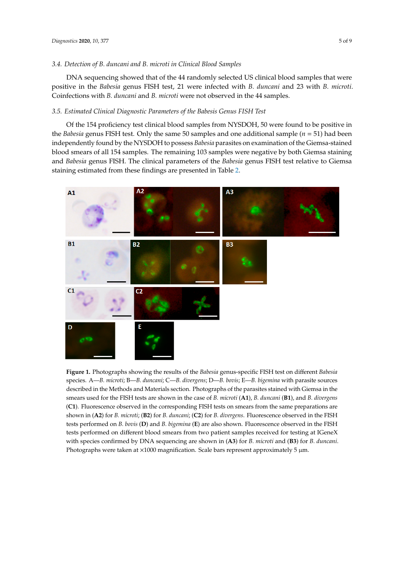#### *3.4. Detection of B. duncani and B. microti in Clinical Blood Samples*

DNA sequencing showed that of the 44 randomly selected US clinical blood samples that were positive in the *Babesia* genus FISH test, 21 were infected with *B. duncani* and 23 with *B. microti*. Coinfections with *B. duncani* and *B. microti* were not observed in the 44 samples.

#### *3.5. Estimated Clinical Diagnostic Parameters of the Babesis Genus FISH Test*

Of the 154 proficiency test clinical blood samples from NYSDOH, 50 were found to be positive in the *Babesia* genus FISH test. Only the same 50 samples and one additional sample (*n* = 51) had been independently found by the NYSDOH to possess *Babesia* parasites on examination of the Giemsa-stained blood smears of all 154 samples. The remaining 103 samples were negative by both Giemsa staining and *Babesia* genus FISH. The clinical parameters of the *Babesia* genus FISH test relative to Giemsa staining estimated from these findings are presented in Table *Diagnostics* **2020** [2.](#page-5-0) , *10*, x FOR PEER REVIEW 5 of 9

<span id="page-4-0"></span>

Figure 1. Photographs showing the results of the Babesia genus-specific FISH test on different Babesia species. A-B. microti; B-B. duncani; C-B. divergens; D-B. bovis; E-B. bigemina with parasite sources described in the Methods and Materials section. Photographs of the parasites stained with Giemsa in described in the Methods and Materials section. Photographs of the parasites stained with Giemsa in the smears used for the FISH tests are shown in the case of *B. microti* (A1), *B. duncani* (B1), and *B. divergens divergens* (**C1**)*.* Fluorescence observed in the corresponding FISH tests on smears from the same (**C1**). Fluorescence observed in the corresponding FISH tests on smears from the same preparations are shown in (A2) for *B. microti*; (B2) for *B. duncani*; (C2) for *B. divergens*. Fluorescence observed in the FISH tests performed on *B. bovis* (D) and *B. bigemina* (E) are also shown. Fluorescence observed in the FISH tests performed on different blood smears from two patient samples received for testing at IGeneX with species confirmed by DNA sequencing are shown in  $(A3)$  for *B*. *microti* and  $(B3)$  for *B*. *duncani*. (**B3**) for *B. duncani*. Photographs were taken at ×1000 magnification. Scale bars represent Photographs were taken at  $\times 1000$  magnification. Scale bars represent approximately 5  $\mu$ m.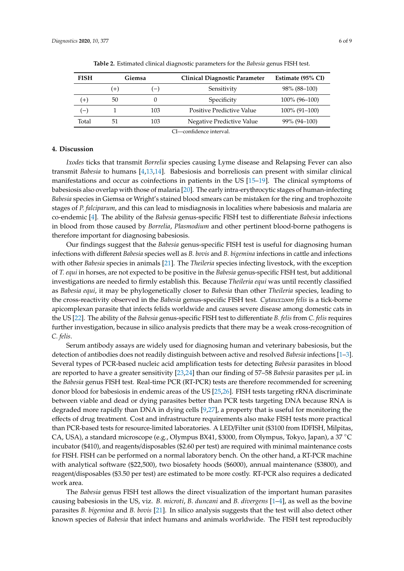<span id="page-5-0"></span>

| <b>FISH</b> | Giemsa |      | <b>Clinical Diagnostic Parameter</b> | Estimate (95% CI) |
|-------------|--------|------|--------------------------------------|-------------------|
|             | $(+)$  | $-1$ | Sensitivity                          | $98\%$ (88-100)   |
| $^{(+)}$    | 50     |      | Specificity                          | 100% (96-100)     |
| $(-)$       |        | 103  | <b>Positive Predictive Value</b>     | $100\%$ (91–100)  |
| Total       | 51.    | 103  | Negative Predictive Value            | 99% (94–100)      |

**Table 2.** Estimated clinical diagnostic parameters for the *Babesia* genus FISH test.

CI—confidence interval.

## **4. Discussion**

*Ixodes* ticks that transmit *Borrelia* species causing Lyme disease and Relapsing Fever can also transmit *Babesia* to humans [\[4,](#page-7-2)[13,](#page-7-12)[14\]](#page-7-13). Babesiosis and borreliosis can present with similar clinical manifestations and occur as coinfections in patients in the US [\[15](#page-7-14)[–19\]](#page-7-15). The clinical symptoms of babesiosis also overlap with those of malaria [\[20\]](#page-8-0). The early intra-erythrocytic stages of human-infecting *Babesia* species in Giemsa or Wright's stained blood smears can be mistaken for the ring and trophozoite stages of *P. falciparum*, and this can lead to misdiagnosis in localities where babesiosis and malaria are co-endemic [\[4\]](#page-7-2). The ability of the *Babesia* genus-specific FISH test to differentiate *Babesia* infections in blood from those caused by *Borrelia*, *Plasmodium* and other pertinent blood-borne pathogens is therefore important for diagnosing babesiosis.

Our findings suggest that the *Babesia* genus-specific FISH test is useful for diagnosing human infections with different *Babesia* species well as *B. bovis* and *B. bigemina* infections in cattle and infections with other *Babesia* species in animals [\[21\]](#page-8-1). The *Theileria* species infecting livestock, with the exception of *T. equi* in horses, are not expected to be positive in the *Babesia* genus-specific FISH test, but additional investigations are needed to firmly establish this. Because *Theileria equi* was until recently classified as *Babesia equi*, it may be phylogenetically closer to *Babesia* than other *Theileria* species, leading to the cross-reactivity observed in the *Babesia* genus-specific FISH test. *Cytauxzoon felis* is a tick-borne apicomplexan parasite that infects felids worldwide and causes severe disease among domestic cats in the US [\[22\]](#page-8-2). The ability of the *Babesia* genus-specific FISH test to differentiate *B. felis* from *C. felis* requires further investigation, because in silico analysis predicts that there may be a weak cross-recognition of *C. felis*.

Serum antibody assays are widely used for diagnosing human and veterinary babesiosis, but the detection of antibodies does not readily distinguish between active and resolved *Babesia* infections [\[1–](#page-7-0)[3\]](#page-7-1). Several types of PCR-based nucleic acid amplification tests for detecting *Babesia* parasites in blood are reported to have a greater sensitivity [\[23](#page-8-3)[,24\]](#page-8-4) than our finding of 57–58 *Babesia* parasites per µL in the *Babesia* genus FISH test. Real-time PCR (RT-PCR) tests are therefore recommended for screening donor blood for babesiosis in endemic areas of the US [\[25](#page-8-5)[,26\]](#page-8-6). FISH tests targeting rRNA discriminate between viable and dead or dying parasites better than PCR tests targeting DNA because RNA is degraded more rapidly than DNA in dying cells [\[9](#page-7-8)[,27\]](#page-8-7), a property that is useful for monitoring the effects of drug treatment. Cost and infrastructure requirements also make FISH tests more practical than PCR-based tests for resource-limited laboratories. A LED/Filter unit (\$3100 from IDFISH, Milpitas, CA, USA), a standard microscope (e.g., Olympus BX41, \$3000, from Olympus, Tokyo, Japan), a 37 ◦C incubator (\$410), and reagents/disposables (\$2.60 per test) are required with minimal maintenance costs for FISH. FISH can be performed on a normal laboratory bench. On the other hand, a RT-PCR machine with analytical software (\$22,500), two biosafety hoods (\$6000), annual maintenance (\$3800), and reagent/disposables (\$3.50 per test) are estimated to be more costly. RT-PCR also requires a dedicated work area.

The *Babesia* genus FISH test allows the direct visualization of the important human parasites causing babesiosis in the US, viz. *B. microti*, *B. duncani* and *B. divergens* [\[1](#page-7-0)[–4\]](#page-7-2), as well as the bovine parasites *B. bigemina* and *B. bovis* [\[21\]](#page-8-1). In silico analysis suggests that the test will also detect other known species of *Babesia* that infect humans and animals worldwide. The FISH test reproducibly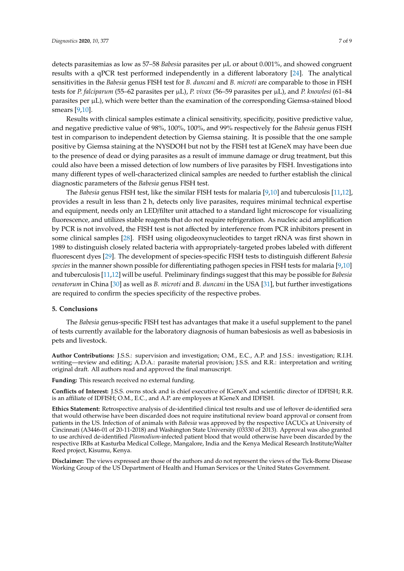detects parasitemias as low as 57–58 *Babesia* parasites per µL or about 0.001%, and showed congruent results with a qPCR test performed independently in a different laboratory [\[24\]](#page-8-4). The analytical sensitivities in the *Babesia* genus FISH test for *B. duncani* and *B. microti* are comparable to those in FISH tests for *P. falciparum* (55–62 parasites per µL), *P. vivax* (56–59 parasites per µL), and *P. knowlesi* (61–84 parasites per µL), which were better than the examination of the corresponding Giemsa-stained blood smears [\[9](#page-7-8)[,10\]](#page-7-9).

Results with clinical samples estimate a clinical sensitivity, specificity, positive predictive value, and negative predictive value of 98%, 100%, 100%, and 99% respectively for the *Babesia* genus FISH test in comparison to independent detection by Giemsa staining. It is possible that the one sample positive by Giemsa staining at the NYSDOH but not by the FISH test at IGeneX may have been due to the presence of dead or dying parasites as a result of immune damage or drug treatment, but this could also have been a missed detection of low numbers of live parasites by FISH. Investigations into many different types of well-characterized clinical samples are needed to further establish the clinical diagnostic parameters of the *Babesia* genus FISH test.

The *Babesia* genus FISH test, like the similar FISH tests for malaria [\[9](#page-7-8)[,10\]](#page-7-9) and tuberculosis [\[11](#page-7-10)[,12\]](#page-7-11), provides a result in less than 2 h, detects only live parasites, requires minimal technical expertise and equipment, needs only an LED/filter unit attached to a standard light microscope for visualizing fluorescence, and utilizes stable reagents that do not require refrigeration. As nucleic acid amplification by PCR is not involved, the FISH test is not affected by interference from PCR inhibitors present in some clinical samples [\[28\]](#page-8-8). FISH using oligodeoxynucleotides to target rRNA was first shown in 1989 to distinguish closely related bacteria with appropriately-targeted probes labeled with different fluorescent dyes [\[29\]](#page-8-9). The development of species-specific FISH tests to distinguish different *Babesia species* in the manner shown possible for differentiating pathogen species in FISH tests for malaria [\[9,](#page-7-8)[10\]](#page-7-9) and tuberculosis [\[11](#page-7-10)[,12\]](#page-7-11) will be useful. Preliminary findings suggest that this may be possible for *Babesia venatorum* in China [\[30\]](#page-8-10) as well as *B. microti* and *B. duncani* in the USA [\[31\]](#page-8-11), but further investigations are required to confirm the species specificity of the respective probes.

# **5. Conclusions**

The *Babesia* genus-specific FISH test has advantages that make it a useful supplement to the panel of tests currently available for the laboratory diagnosis of human babesiosis as well as babesiosis in pets and livestock.

**Author Contributions:** J.S.S.: supervision and investigation; O.M., E.C., A.P. and J.S.S.: investigation; R.I.H. writing—review and editing; A.D.A.: parasite material provision; J.S.S. and R.R.: interpretation and writing original draft. All authors read and approved the final manuscript.

**Funding:** This research received no external funding.

**Conflicts of Interest:** J.S.S. owns stock and is chief executive of IGeneX and scientific director of IDFISH; R.R. is an affiliate of IDFISH; O.M., E.C., and A.P. are employees at IGeneX and IDFISH.

**Ethics Statement:** Retrospective analysis of de-identified clinical test results and use of leftover de-identified sera that would otherwise have been discarded does not require institutional review board approval or consent from patients in the US. Infection of of animals with *Babesia* was approved by the respective IACUCs at University of Cincinnati (A3446-01 of 20-11-2018) and Washington State University (03330 of 2013). Approval was also granted to use archived de-identified *Plasmodium*-infected patient blood that would otherwise have been discarded by the respective IRBs at Kasturba Medical College, Mangalore, India and the Kenya Medical Research Institute/Walter Reed project, Kisumu, Kenya.

**Disclaimer:** The views expressed are those of the authors and do not represent the views of the Tick-Borne Disease Working Group of the US Department of Health and Human Services or the United States Government.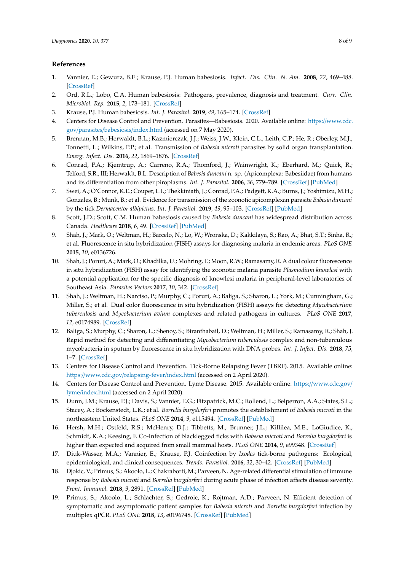# **References**

- <span id="page-7-0"></span>1. Vannier, E.; Gewurz, B.E.; Krause, P.J. Human babesiosis. *Infect. Dis. Clin. N. Am.* **2008**, *22*, 469–488. [\[CrossRef\]](http://dx.doi.org/10.1016/j.idc.2008.03.010)
- <span id="page-7-4"></span>2. Ord, R.L.; Lobo, C.A. Human babesiosis: Pathogens, prevalence, diagnosis and treatment. *Curr. Clin. Microbiol. Rep.* **2015**, *2*, 173–181. [\[CrossRef\]](http://dx.doi.org/10.1007/s40588-015-0025-z)
- <span id="page-7-1"></span>3. Krause, P.J. Human babesiosis. *Int. J. Parasitol.* **2019**, *49*, 165–174. [\[CrossRef\]](http://dx.doi.org/10.1016/j.ijpara.2018.11.007)
- <span id="page-7-2"></span>4. Centers for Disease Control and Prevention. Parasites—Babesiosis. 2020. Available online: https://[www.cdc.](https://www.cdc.gov/parasites/babesiosis/index.html) gov/parasites/babesiosis/[index.html](https://www.cdc.gov/parasites/babesiosis/index.html) (accessed on 7 May 2020).
- <span id="page-7-3"></span>5. Brennan, M.B.; Herwaldt, B.L.; Kazmierczak, J.J.; Weiss, J.W.; Klein, C.L.; Leith, C.P.; He, R.; Oberley, M.J.; Tonnetti, L.; Wilkins, P.P.; et al. Transmission of *Babesia microti* parasites by solid organ transplantation. *Emerg. Infect. Dis.* **2016**, *22*, 1869–1876. [\[CrossRef\]](http://dx.doi.org/10.3201/eid2211.151028)
- <span id="page-7-5"></span>6. Conrad, P.A.; Kjemtrup, A.; Carreno, R.A.; Thomford, J.; Wainwright, K.; Eberhard, M.; Quick, R.; Telford, S.R., III; Herwaldt, B.L. Description of *Babesia duncani* n. sp. (Apicomplexa: Babesiidae) from humans and its differentiation from other piroplasms. *Int. J. Parasitol.* **2006**, *36*, 779–789. [\[CrossRef\]](http://dx.doi.org/10.1016/j.ijpara.2006.03.008) [\[PubMed\]](http://www.ncbi.nlm.nih.gov/pubmed/16725142)
- <span id="page-7-7"></span>7. Swei, A.; O'Connor, K.E.; Couper, L.I.; Thekkiniath, J.; Conrad, P.A.; Padgett, K.A.; Burns, J.; Yoshimizu, M.H.; Gonzales, B.; Munk, B.; et al. Evidence for transmission of the zoonotic apicomplexan parasite *Babesia duncani* by the tick *Dermacentor albipictus*. *Int. J. Parasitol.* **2019**, *49*, 95–103. [\[CrossRef\]](http://dx.doi.org/10.1016/j.ijpara.2018.07.002) [\[PubMed\]](http://www.ncbi.nlm.nih.gov/pubmed/30367862)
- <span id="page-7-6"></span>8. Scott, J.D.; Scott, C.M. Human babesiosis caused by *Babesia duncani* has widespread distribution across Canada. *Healthcare* **2018**, *6*, 49. [\[CrossRef\]](http://dx.doi.org/10.3390/healthcare6020049) [\[PubMed\]](http://www.ncbi.nlm.nih.gov/pubmed/29772759)
- <span id="page-7-8"></span>9. Shah, J.; Mark, O.; Weltman, H.; Barcelo, N.; Lo, W.; Wronska, D.; Kakkilaya, S.; Rao, A.; Bhat, S.T.; Sinha, R.; et al. Fluorescence in situ hybridization (FISH) assays for diagnosing malaria in endemic areas. *PLoS ONE* **2015**, *10*, e0136726.
- <span id="page-7-9"></span>10. Shah, J.; Poruri, A.; Mark, O.; Khadilka, U.; Mohring, F.; Moon, R.W.; Ramasamy, R. A dual colour fluorescence in situ hybridization (FISH) assay for identifying the zoonotic malaria parasite *Plasmodium knowlesi* with a potential application for the specific diagnosis of knowlesi malaria in peripheral-level laboratories of Southeast Asia. *Parasites Vectors* **2017**, *10*, 342. [\[CrossRef\]](http://dx.doi.org/10.1186/s13071-017-2273-7)
- <span id="page-7-10"></span>11. Shah, J.; Weltman, H.; Narciso, P.; Murphy, C.; Poruri, A.; Baliga, S.; Sharon, L.; York, M.; Cunningham, G.; Miller, S.; et al. Dual color fluorescence in situ hybridization (FISH) assays for detecting *Mycobacterium tuberculosis* and *Mycobacterium avium* complexes and related pathogens in cultures. *PLoS ONE* **2017**, *12*, e0174989. [\[CrossRef\]](http://dx.doi.org/10.1371/journal.pone.0174989)
- <span id="page-7-11"></span>12. Baliga, S.; Murphy, C.; Sharon, L.; Shenoy, S.; Biranthabail, D.; Weltman, H.; Miller, S.; Ramasamy, R.; Shah, J. Rapid method for detecting and differentiating *Mycobacterium tuberculosis* complex and non-tuberculous mycobacteria in sputum by fluorescence in situ hybridization with DNA probes. *Int. J. Infect. Dis.* **2018**, *75*, 1–7. [\[CrossRef\]](http://dx.doi.org/10.1016/j.ijid.2018.07.011)
- <span id="page-7-12"></span>13. Centers for Disease Control and Prevention. Tick-Borne Relapsing Fever (TBRF). 2015. Available online: https://www.cdc.gov/[relapsing-fever](https://www.cdc.gov/relapsing-fever/index.html)/index.html (accessed on 2 April 2020).
- <span id="page-7-13"></span>14. Centers for Disease Control and Prevention. Lyme Disease. 2015. Available online: https://[www.cdc.gov](https://www.cdc.gov/lyme/index.html)/ lyme/[index.html](https://www.cdc.gov/lyme/index.html) (accessed on 2 April 2020).
- <span id="page-7-14"></span>15. Dunn, J.M.; Krause, P.J.; Davis, S.; Vannier, E.G.; Fitzpatrick, M.C.; Rollend, L.; Belperron, A.A.; States, S.L.; Stacey, A.; Bockenstedt, L.K.; et al. *Borrelia burgdorferi* promotes the establishment of *Babesia microti* in the northeastern United States. *PLoS ONE* **2014**, *9*, e115494. [\[CrossRef\]](http://dx.doi.org/10.1371/journal.pone.0115494) [\[PubMed\]](http://www.ncbi.nlm.nih.gov/pubmed/25545393)
- 16. Hersh, M.H.; Ostfeld, R.S.; McHenry, D.J.; Tibbetts, M.; Brunner, J.L.; Killilea, M.E.; LoGiudice, K.; Schmidt, K.A.; Keesing, F. Co-Infection of blacklegged ticks with *Babesia microti* and *Borrelia burgdorferi* is higher than expected and acquired from small mammal hosts. *PLoS ONE* **2014**, *9*, e99348. [\[CrossRef\]](http://dx.doi.org/10.1371/journal.pone.0099348)
- 17. Diuk-Wasser, M.A.; Vannier, E.; Krause, P.J. Coinfection by *Ixodes* tick-borne pathogens: Ecological, epidemiological, and clinical consequences. *Trends. Parasitol.* **2016**, *32*, 30–42. [\[CrossRef\]](http://dx.doi.org/10.1016/j.pt.2015.09.008) [\[PubMed\]](http://www.ncbi.nlm.nih.gov/pubmed/26613664)
- 18. Djokic, V.; Primus, S.; Akoolo, L.; Chakraborti, M.; Parveen, N. Age-related differential stimulation of immune response by *Babesia microti* and *Borrelia burgdorferi* during acute phase of infection affects disease severity. *Front. Immunol.* **2018**, *9*, 2891. [\[CrossRef\]](http://dx.doi.org/10.3389/fimmu.2018.02891) [\[PubMed\]](http://www.ncbi.nlm.nih.gov/pubmed/30619263)
- <span id="page-7-15"></span>19. Primus, S.; Akoolo, L.; Schlachter, S.; Gedroic, K.; Rojtman, A.D.; Parveen, N. Efficient detection of symptomatic and asymptomatic patient samples for *Babesia microti* and *Borrelia burgdorferi* infection by multiplex qPCR. *PLoS ONE* **2018**, *13*, e0196748. [\[CrossRef\]](http://dx.doi.org/10.1371/journal.pone.0196748) [\[PubMed\]](http://www.ncbi.nlm.nih.gov/pubmed/29746483)